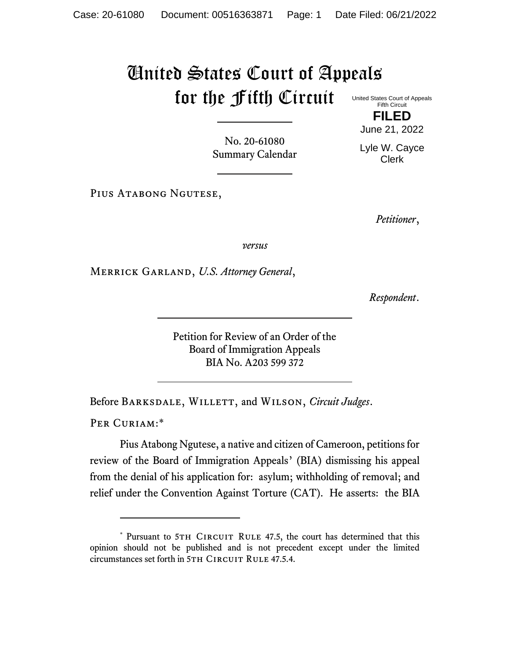## United States Court of Appeals for the Fifth Circuit United States Court of Appeals Fifth Circuit

No. 20-61080 Summary Calendar

PIUS ATABONG NGUTESE,

*Petitioner*,

**FILED** June 21, 2022

Lyle W. Cayce Clerk

*versus*

Merrick Garland, *U.S. Attorney General*,

*Respondent*.

Petition for Review of an Order of the Board of Immigration Appeals BIA No. A203 599 372

Before Barksdale, Willett, and Wilson, *Circuit Judges*.

PER CURIAM:\*

Pius Atabong Ngutese, a native and citizen of Cameroon, petitions for review of the Board of Immigration Appeals' (BIA) dismissing his appeal from the denial of his application for: asylum; withholding of removal; and relief under the Convention Against Torture (CAT). He asserts: the BIA

<sup>\*</sup> Pursuant to 5TH CIRCUIT RULE 47.5, the court has determined that this opinion should not be published and is not precedent except under the limited circumstances set forth in 5TH CIRCUIT RULE 47.5.4.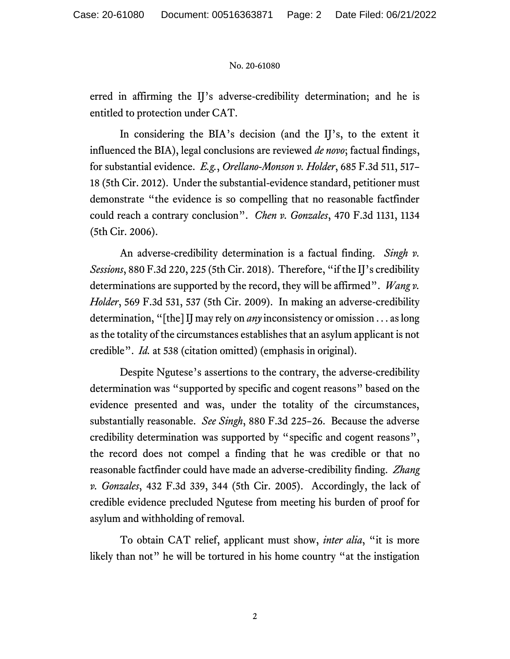## No. 20-61080

erred in affirming the IJ's adverse-credibility determination; and he is entitled to protection under CAT.

In considering the BIA's decision (and the IJ's, to the extent it influenced the BIA), legal conclusions are reviewed *de novo*; factual findings, for substantial evidence. *E.g.*, *Orellano-Monson v. Holder*, 685 F.3d 511, 517– 18 (5th Cir. 2012). Under the substantial-evidence standard, petitioner must demonstrate "the evidence is so compelling that no reasonable factfinder could reach a contrary conclusion". *Chen v. Gonzales*, 470 F.3d 1131, 1134 (5th Cir. 2006).

An adverse-credibility determination is a factual finding. *Singh v. Sessions*, 880 F.3d 220, 225 (5th Cir. 2018). Therefore, "if the IJ's credibility determinations are supported by the record, they will be affirmed". *Wang v. Holder*, 569 F.3d 531, 537 (5th Cir. 2009). In making an adverse-credibility determination, "[the] IJ may rely on *any* inconsistency or omission . . . as long as the totality of the circumstances establishes that an asylum applicant is not credible". *Id.* at 538 (citation omitted) (emphasis in original).

Despite Ngutese's assertions to the contrary, the adverse-credibility determination was "supported by specific and cogent reasons" based on the evidence presented and was, under the totality of the circumstances, substantially reasonable. *See Singh*, 880 F.3d 225–26. Because the adverse credibility determination was supported by "specific and cogent reasons", the record does not compel a finding that he was credible or that no reasonable factfinder could have made an adverse-credibility finding. *Zhang v. Gonzales*, 432 F.3d 339, 344 (5th Cir. 2005). Accordingly, the lack of credible evidence precluded Ngutese from meeting his burden of proof for asylum and withholding of removal.

To obtain CAT relief, applicant must show, *inter alia*, "it is more likely than not" he will be tortured in his home country "at the instigation